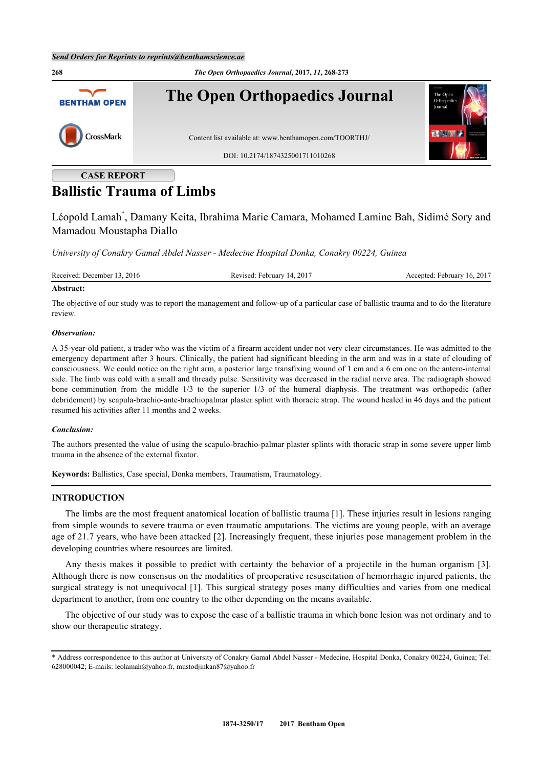

# **Ballistic Trauma of Limbs**

Léopold Lamah[\\*](#page-0-0) , Damany Keita, Ibrahima Marie Camara, Mohamed Lamine Bah, Sidimé Sory and Mamadou Moustapha Diallo

*University of Conakry Gamal Abdel Nasser - Medecine Hospital Donka, Conakry 00224, Guinea*

| Received: December 13, 2016 | Revised: February 14, 2017 | Accepted: February 16, 2017 |
|-----------------------------|----------------------------|-----------------------------|
|-----------------------------|----------------------------|-----------------------------|

# **Abstract:**

The objective of our study was to report the management and follow-up of a particular case of ballistic trauma and to do the literature review.

# *Observation:*

A 35-year-old patient, a trader who was the victim of a firearm accident under not very clear circumstances. He was admitted to the emergency department after 3 hours. Clinically, the patient had significant bleeding in the arm and was in a state of clouding of consciousness. We could notice on the right arm, a posterior large transfixing wound of 1 cm and a 6 cm one on the antero-internal side. The limb was cold with a small and thready pulse. Sensitivity was decreased in the radial nerve area. The radiograph showed bone comminution from the middle 1/3 to the superior 1/3 of the humeral diaphysis. The treatment was orthopedic (after debridement) by scapula-brachio-ante-brachiopalmar plaster splint with thoracic strap. The wound healed in 46 days and the patient resumed his activities after 11 months and 2 weeks.

# *Conclusion:*

The authors presented the value of using the scapulo-brachio-palmar plaster splints with thoracic strap in some severe upper limb trauma in the absence of the external fixator.

**Keywords:** Ballistics, Case special, Donka members, Traumatism, Traumatology.

# **INTRODUCTION**

The limbs are the most frequent anatomical location of ballistic trauma [\[1](#page-5-0)]. These injuries result in lesions ranging from simple wounds to severe trauma or even traumatic amputations. The victims are young people, with an average age of 21.7 years, who have been attacked [[2\]](#page-5-1). Increasingly frequent, these injuries pose management problem in the developing countries where resources are limited.

Any thesis makes it possible to predict with certainty the behavior of a projectile in the human organism [[3\]](#page-5-2). Although there is now consensus on the modalities of preoperative resuscitation of hemorrhagic injured patients, the surgical strategy is not unequivocal [[1\]](#page-5-0). This surgical strategy poses many difficulties and varies from one medical department to another, from one country to the other depending on the means available.

The objective of our study was to expose the case of a ballistic trauma in which bone lesion was not ordinary and to show our therapeutic strategy.

<span id="page-0-0"></span><sup>\*</sup> Address correspondence to this author at University of Conakry Gamal Abdel Nasser - Medecine, Hospital Donka, Conakry 00224, Guinea; Tel: 628000042; E-mails: [leolamah@yahoo.fr,](mailto:leolamah@yahoo.fr) [mustodjinkan87@yahoo.fr](mailto:mustodjinkan87@yahoo.fr)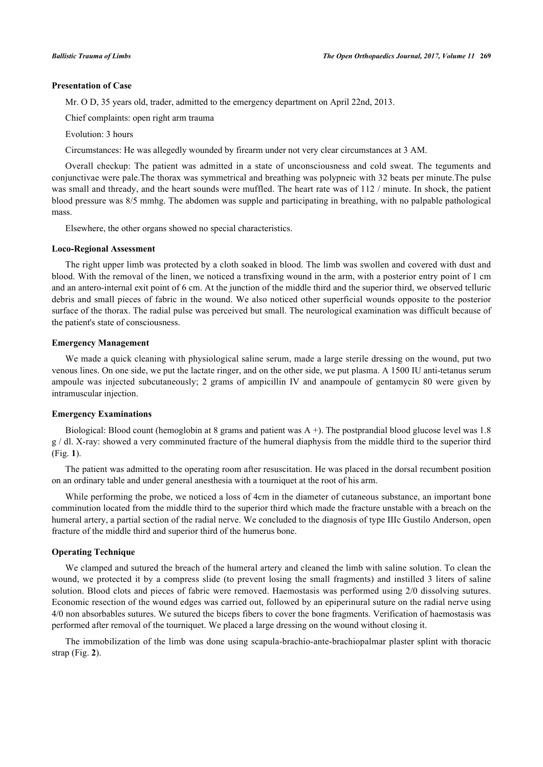# **Presentation of Case**

Mr. O D, 35 years old, trader, admitted to the emergency department on April 22nd, 2013.

Chief complaints: open right arm trauma

Evolution: 3 hours

Circumstances: He was allegedly wounded by firearm under not very clear circumstances at 3 AM.

Overall checkup: The patient was admitted in a state of unconsciousness and cold sweat. The teguments and conjunctivae were pale.The thorax was symmetrical and breathing was polypneic with 32 beats per minute.The pulse was small and thready, and the heart sounds were muffled. The heart rate was of 112 / minute. In shock, the patient blood pressure was 8/5 mmhg. The abdomen was supple and participating in breathing, with no palpable pathological mass.

Elsewhere, the other organs showed no special characteristics.

#### **Loco-Regional Assessment**

The right upper limb was protected by a cloth soaked in blood. The limb was swollen and covered with dust and blood. With the removal of the linen, we noticed a transfixing wound in the arm, with a posterior entry point of 1 cm and an antero-internal exit point of 6 cm. At the junction of the middle third and the superior third, we observed telluric debris and small pieces of fabric in the wound. We also noticed other superficial wounds opposite to the posterior surface of the thorax. The radial pulse was perceived but small. The neurological examination was difficult because of the patient's state of consciousness.

# **Emergency Management**

We made a quick cleaning with physiological saline serum, made a large sterile dressing on the wound, put two venous lines. On one side, we put the lactate ringer, and on the other side, we put plasma. A 1500 IU anti-tetanus serum ampoule was injected subcutaneously; 2 grams of ampicillin IV and anampoule of gentamycin 80 were given by intramuscular injection.

# **Emergency Examinations**

Biological: Blood count (hemoglobin at 8 grams and patient was A +). The postprandial blood glucose level was 1.8 g / dl. X-ray: showed a very comminuted fracture of the humeral diaphysis from the middle third to the superior third (Fig. **[1](#page-1-0)**).

The patient was admitted to the operating room after resuscitation. He was placed in the dorsal recumbent position on an ordinary table and under general anesthesia with a tourniquet at the root of his arm.

While performing the probe, we noticed a loss of 4cm in the diameter of cutaneous substance, an important bone comminution located from the middle third to the superior third which made the fracture unstable with a breach on the humeral artery, a partial section of the radial nerve. We concluded to the diagnosis of type IIIc Gustilo Anderson, open fracture of the middle third and superior third of the humerus bone.

#### **Operating Technique**

We clamped and sutured the breach of the humeral artery and cleaned the limb with saline solution. To clean the wound, we protected it by a compress slide (to prevent losing the small fragments) and instilled 3 liters of saline solution. Blood clots and pieces of fabric were removed. Haemostasis was performed using 2/0 dissolving sutures. Economic resection of the wound edges was carried out, followed by an epiperinural suture on the radial nerve using 4/0 non absorbables sutures. We sutured the biceps fibers to cover the bone fragments. Verification of haemostasis was performed after removal of the tourniquet. We placed a large dressing on the wound without closing it.

<span id="page-1-0"></span>The immobilization of the limb was done using scapula-brachio-ante-brachiopalmar plaster splint with thoracic strap (Fig. **[2](#page-2-0)**).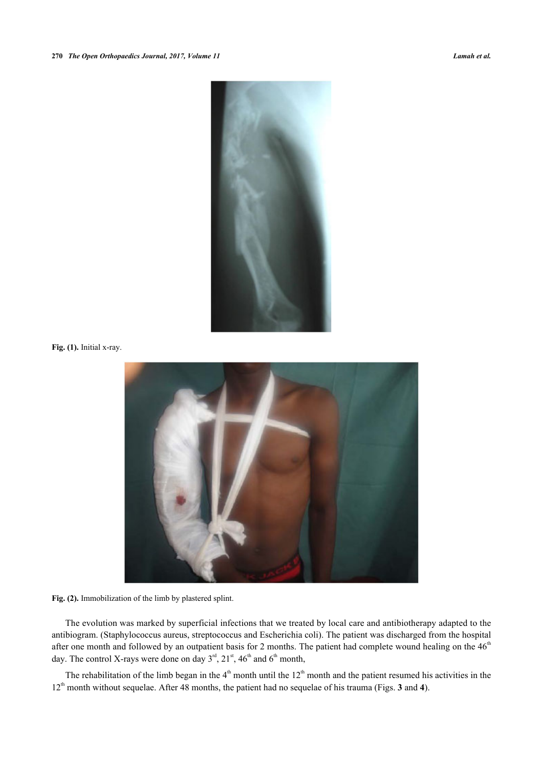

<span id="page-2-0"></span>**Fig. (1).** Initial x-ray.



Fig. (2). Immobilization of the limb by plastered splint.

The evolution was marked by superficial infections that we treated by local care and antibiotherapy adapted to the antibiogram. (Staphylococcus aureus, streptococcus and Escherichia coli). The patient was discharged from the hospital after one month and followed by an outpatient basis for 2 months. The patient had complete wound healing on the  $46<sup>th</sup>$ day. The control X-rays were done on day  $3<sup>rd</sup>$ ,  $21<sup>st</sup>$ ,  $46<sup>th</sup>$  and  $6<sup>th</sup>$  month,

<span id="page-2-1"></span>The rehabilitation of the limb began in the  $4<sup>th</sup>$  month until the  $12<sup>th</sup>$  month and the patient resumed his activities in the 12th month without sequelae. After 48 months, the patient had no sequelae of his trauma (Figs. **[3](#page-2-1)** and **[4](#page-3-0)**).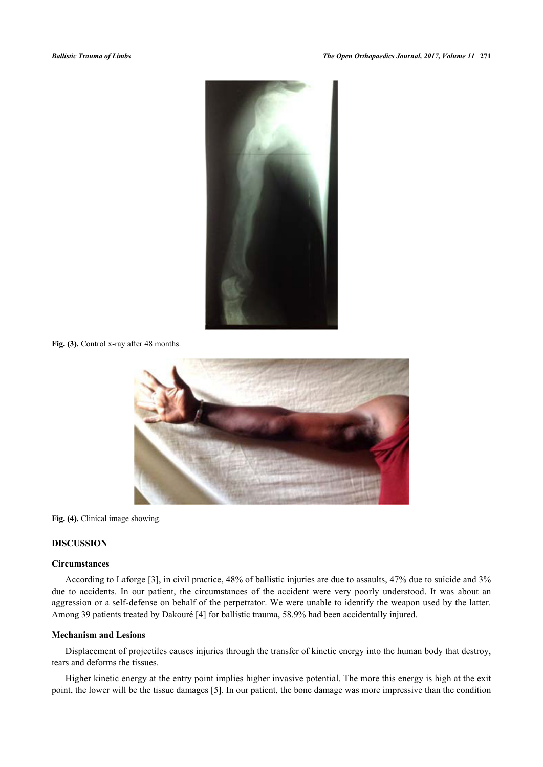

<span id="page-3-0"></span>Fig. (3). Control x-ray after 48 months.



**Fig. (4).** Clinical image showing.

# **DISCUSSION**

# **Circumstances**

According to Laforge [[3\]](#page-5-2), in civil practice, 48% of ballistic injuries are due to assaults, 47% due to suicide and 3% due to accidents. In our patient, the circumstances of the accident were very poorly understood. It was about an aggression or a self-defense on behalf of the perpetrator. We were unable to identify the weapon used by the latter. Among 39 patients treated by Dakouré [[4\]](#page-5-3) for ballistic trauma, 58.9% had been accidentally injured.

# **Mechanism and Lesions**

Displacement of projectiles causes injuries through the transfer of kinetic energy into the human body that destroy, tears and deforms the tissues.

Higher kinetic energy at the entry point implies higher invasive potential. The more this energy is high at the exit point, the lower will be the tissue damages [[5\]](#page-5-4). In our patient, the bone damage was more impressive than the condition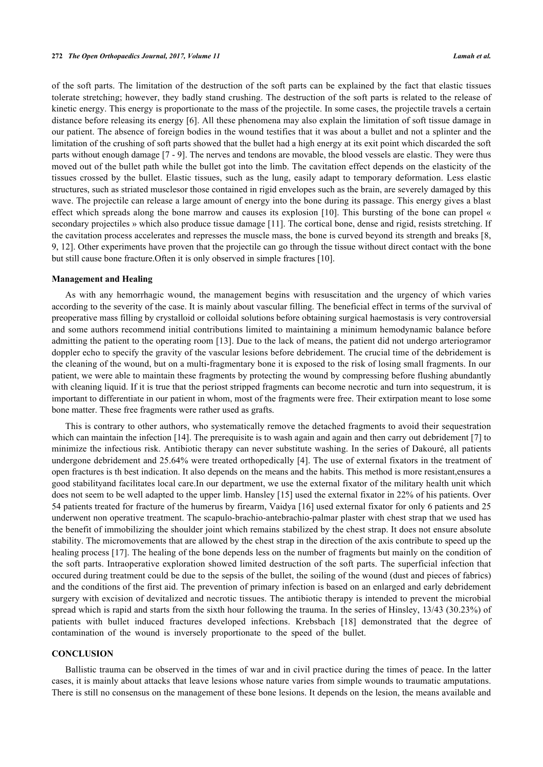of the soft parts. The limitation of the destruction of the soft parts can be explained by the fact that elastic tissues tolerate stretching; however, they badly stand crushing. The destruction of the soft parts is related to the release of kinetic energy. This energy is proportionate to the mass of the projectile. In some cases, the projectile travels a certain distance before releasing its energy [[6\]](#page-5-5). All these phenomena may also explain the limitation of soft tissue damage in our patient. The absence of foreign bodies in the wound testifies that it was about a bullet and not a splinter and the limitation of the crushing of soft parts showed that the bullet had a high energy at its exit point which discarded the soft parts without enough damage [\[7](#page-5-6) - [9\]](#page-5-7). The nerves and tendons are movable, the blood vessels are elastic. They were thus moved out of the bullet path while the bullet got into the limb. The cavitation effect depends on the elasticity of the tissues crossed by the bullet. Elastic tissues, such as the lung, easily adapt to temporary deformation. Less elastic structures, such as striated musclesor those contained in rigid envelopes such as the brain, are severely damaged by this wave. The projectile can release a large amount of energy into the bone during its passage. This energy gives a blast effect which spreads along the bone marrow and causes its explosion [[10](#page-5-8)]. This bursting of the bone can propel « secondary projectiles » which also produce tissue damage [[11](#page-5-9)]. The cortical bone, dense and rigid, resists stretching. If the cavitation process accelerates and represses the muscle mass, the bone is curved beyond its strength and breaks [[8](#page-5-10), [9,](#page-5-7) [12\]](#page-5-11). Other experiments have proven that the projectile can go through the tissue without direct contact with the bone but still cause bone fracture.Often it is only observed in simple fractures [\[10](#page-5-8)].

#### **Management and Healing**

As with any hemorrhagic wound, the management begins with resuscitation and the urgency of which varies according to the severity of the case. It is mainly about vascular filling. The beneficial effect in terms of the survival of preoperative mass filling by crystalloid or colloidal solutions before obtaining surgical haemostasis is very controversial and some authors recommend initial contributions limited to maintaining a minimum hemodynamic balance before admitting the patient to the operating room [\[13\]](#page-5-12). Due to the lack of means, the patient did not undergo arteriogramor doppler echo to specify the gravity of the vascular lesions before debridement. The crucial time of the debridement is the cleaning of the wound, but on a multi-fragmentary bone it is exposed to the risk of losing small fragments. In our patient, we were able to maintain these fragments by protecting the wound by compressing before flushing abundantly with cleaning liquid. If it is true that the periost stripped fragments can become necrotic and turn into sequestrum, it is important to differentiate in our patient in whom, most of the fragments were free. Their extirpation meant to lose some bone matter. These free fragments were rather used as grafts.

This is contrary to other authors, who systematically remove the detached fragments to avoid their sequestration which can maintain the infection [\[14](#page-5-13)]. The prerequisite is to wash again and again and then carry out debridement [[7\]](#page-5-6) to minimize the infectious risk. Antibiotic therapy can never substitute washing. In the series of Dakouré, all patients undergone debridement and 25.64% were treated orthopedically [\[4](#page-5-3)]. The use of external fixators in the treatment of open fractures is th best indication. It also depends on the means and the habits. This method is more resistant,ensures a good stabilityand facilitates local care.In our department, we use the external fixator of the military health unit which does not seem to be well adapted to the upper limb. Hansley [[15\]](#page-5-14) used the external fixator in 22% of his patients. Over 54 patients treated for fracture of the humerus by firearm, Vaidya [[16\]](#page-5-15) used external fixator for only 6 patients and 25 underwent non operative treatment. The scapulo-brachio-antebrachio-palmar plaster with chest strap that we used has the benefit of immobilizing the shoulder joint which remains stabilized by the chest strap. It does not ensure absolute stability. The micromovements that are allowed by the chest strap in the direction of the axis contribute to speed up the healing process [[17](#page-5-16)]. The healing of the bone depends less on the number of fragments but mainly on the condition of the soft parts. Intraoperative exploration showed limited destruction of the soft parts. The superficial infection that occured during treatment could be due to the sepsis of the bullet, the soiling of the wound (dust and pieces of fabrics) and the conditions of the first aid. The prevention of primary infection is based on an enlarged and early debridement surgery with excision of devitalized and necrotic tissues. The antibiotic therapy is intended to prevent the microbial spread which is rapid and starts from the sixth hour following the trauma. In the series of Hinsley, 13/43 (30.23%) of patients with bullet induced fractures developed infections. Krebsbach[[18](#page-5-17)] demonstrated that the degree of contamination of the wound is inversely proportionate to the speed of the bullet.

# **CONCLUSION**

Ballistic trauma can be observed in the times of war and in civil practice during the times of peace. In the latter cases, it is mainly about attacks that leave lesions whose nature varies from simple wounds to traumatic amputations. There is still no consensus on the management of these bone lesions. It depends on the lesion, the means available and